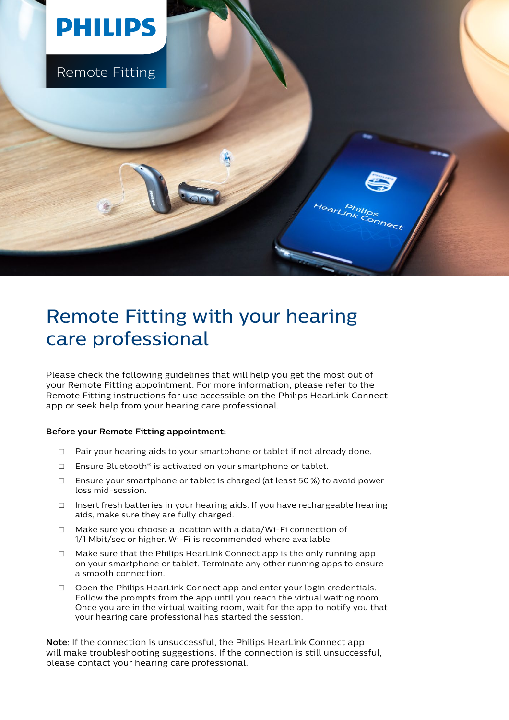

## Remote Fitting with your hearing care professional

Please check the following guidelines that will help you get the most out of your Remote Fitting appointment. For more information, please refer to the Remote Fitting instructions for use accessible on the Philips HearLink Connect app or seek help from your hearing care professional.

## **Before your Remote Fitting appointment:**

- $\Box$  Pair your hearing aids to your smartphone or tablet if not already done.
- $\square$  Ensure Bluetooth® is activated on your smartphone or tablet.
- $\Box$  Ensure your smartphone or tablet is charged (at least 50%) to avoid power loss mid-session.
- □ Insert fresh batteries in your hearing aids. If you have rechargeable hearing aids, make sure they are fully charged.
- □ Make sure you choose a location with a data/Wi-Fi connection of 1/1 Mbit/sec or higher. Wi-Fi is recommended where available.
- $\Box$  Make sure that the Philips HearLink Connect app is the only running app on your smartphone or tablet. Terminate any other running apps to ensure a smooth connection.
- $\Box$  Open the Philips HearLink Connect app and enter your login credentials. Follow the prompts from the app until you reach the virtual waiting room. Once you are in the virtual waiting room, wait for the app to notify you that your hearing care professional has started the session.

**Note**: If the connection is unsuccessful, the Philips HearLink Connect app will make troubleshooting suggestions. If the connection is still unsuccessful, please contact your hearing care professional.